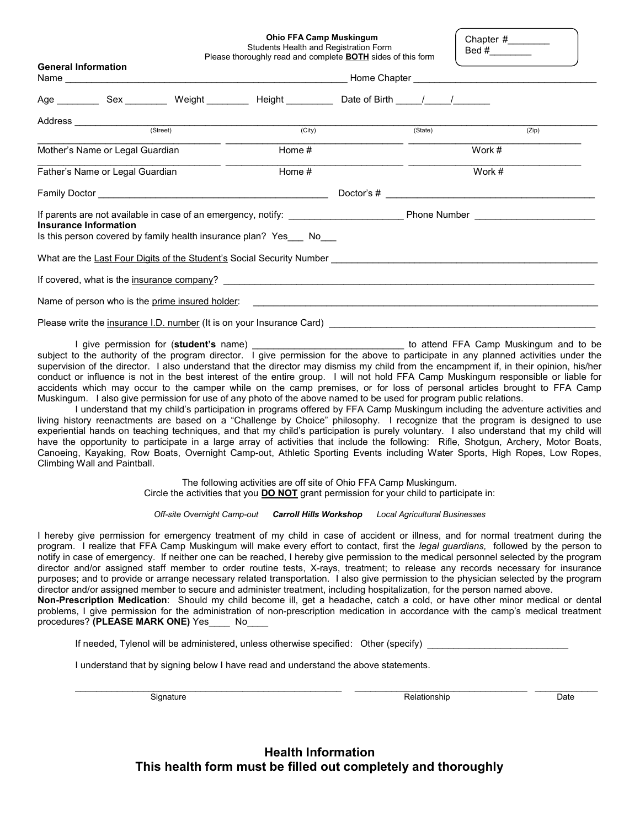Ohio FFA Camp Muskingum

Students Health and Registration Form Please thoroughly read and complete **BOTH** sides of this form Chapter #\_\_\_\_\_\_\_\_ Bed #\_\_\_\_\_\_\_\_

| <b>General Information</b>      |                       |  | Prease moroughly read and complete <b>BOTH</b> sides of this form                                                           |  |         |                                                                                                                      |  |
|---------------------------------|-----------------------|--|-----------------------------------------------------------------------------------------------------------------------------|--|---------|----------------------------------------------------------------------------------------------------------------------|--|
|                                 |                       |  | Age ____________Sex ____________Weight ____________Height ______________Date of Birth _____/______/________                 |  |         |                                                                                                                      |  |
|                                 |                       |  | Address (Street) (City)                                                                                                     |  |         |                                                                                                                      |  |
|                                 |                       |  |                                                                                                                             |  | (State) | (Zip)                                                                                                                |  |
| Mother's Name or Legal Guardian |                       |  | Home #                                                                                                                      |  | Work #  |                                                                                                                      |  |
| Father's Name or Legal Guardian |                       |  | Home #                                                                                                                      |  | Work #  |                                                                                                                      |  |
|                                 |                       |  |                                                                                                                             |  |         |                                                                                                                      |  |
|                                 | Insurance Information |  | Is this person covered by family health insurance plan? Yes___ No___                                                        |  |         | If parents are not available in case of an emergency, notify: _________________________Phone Number ________________ |  |
|                                 |                       |  |                                                                                                                             |  |         |                                                                                                                      |  |
|                                 |                       |  | If covered, what is the <u>insurance company</u> ? <u>Entrepreneurs and the contract of the contract of the contract of</u> |  |         |                                                                                                                      |  |
|                                 |                       |  |                                                                                                                             |  |         |                                                                                                                      |  |
|                                 |                       |  | Please write the insurance I.D. number (It is on your Insurance Card) Letting and the insurance Card                        |  |         |                                                                                                                      |  |

I give permission for (student's name) **Exercise 2018** Contract to attend FFA Camp Muskingum and to be subject to the authority of the program director. I give permission for the above to participate in any planned activities under the supervision of the director. I also understand that the director may dismiss my child from the encampment if, in their opinion, his/her conduct or influence is not in the best interest of the entire group. I will not hold FFA Camp Muskingum responsible or liable for accidents which may occur to the camper while on the camp premises, or for loss of personal articles brought to FFA Camp Muskingum. I also give permission for use of any photo of the above named to be used for program public relations.

 I understand that my child's participation in programs offered by FFA Camp Muskingum including the adventure activities and living history reenactments are based on a "Challenge by Choice" philosophy. I recognize that the program is designed to use experiential hands on teaching techniques, and that my child's participation is purely voluntary. I also understand that my child will have the opportunity to participate in a large array of activities that include the following: Rifle, Shotgun, Archery, Motor Boats, Canoeing, Kayaking, Row Boats, Overnight Camp-out, Athletic Sporting Events including Water Sports, High Ropes, Low Ropes, Climbing Wall and Paintball.

> The following activities are off site of Ohio FFA Camp Muskingum. Circle the activities that you **DO NOT** grant permission for your child to participate in:

Off-site Overnight Camp-out Carroll Hills Workshop Local Agricultural Businesses

I hereby give permission for emergency treatment of my child in case of accident or illness, and for normal treatment during the program. I realize that FFA Camp Muskingum will make every effort to contact, first the legal guardians, followed by the person to notify in case of emergency. If neither one can be reached, I hereby give permission to the medical personnel selected by the program director and/or assigned staff member to order routine tests, X-rays, treatment; to release any records necessary for insurance purposes; and to provide or arrange necessary related transportation. I also give permission to the physician selected by the program director and/or assigned member to secure and administer treatment, including hospitalization, for the person named above. Non-Prescription Medication: Should my child become ill, get a headache, catch a cold, or have other minor medical or dental problems, I give permission for the administration of non-prescription medication in accordance with the camp's medical treatment

procedures? (PLEASE MARK ONE) Yes No

If needed, Tylenol will be administered, unless otherwise specified: Other (specify) \_

 $\_$  ,  $\_$  ,  $\_$  ,  $\_$  ,  $\_$  ,  $\_$  ,  $\_$  ,  $\_$  ,  $\_$  ,  $\_$  ,  $\_$  ,  $\_$  ,  $\_$  ,  $\_$  ,  $\_$  ,  $\_$  ,  $\_$  ,  $\_$  ,  $\_$  ,  $\_$  ,  $\_$  ,  $\_$  ,  $\_$  ,  $\_$  ,  $\_$  ,  $\_$  ,  $\_$  ,  $\_$  ,  $\_$  ,  $\_$  ,  $\_$  ,  $\_$  ,  $\_$  ,  $\_$  ,  $\_$  ,  $\_$  ,  $\_$  ,

I understand that by signing below I have read and understand the above statements.

Signature Relationship Date

Health Information This health form must be filled out completely and thoroughly